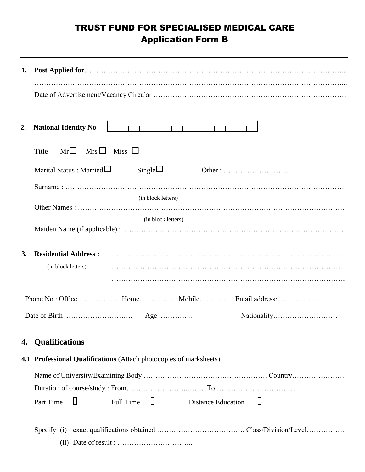## TRUST FUND FOR SPECIALISED MEDICAL CARE Application Form B

| 2.        | <b>National Identity No</b>                                                                                     |
|-----------|-----------------------------------------------------------------------------------------------------------------|
|           | $Mr\Box$ Mrs $\Box$ Miss $\Box$<br>Title                                                                        |
|           | Marital Status : Married $\Box$<br>Single $\square$<br>Other: $\dots \dots \dots \dots \dots \dots \dots \dots$ |
|           |                                                                                                                 |
|           | (in block letters)                                                                                              |
|           | (in block letters)                                                                                              |
|           |                                                                                                                 |
| <b>3.</b> | <b>Residential Address:</b>                                                                                     |
|           | (in block letters)                                                                                              |
|           |                                                                                                                 |
|           |                                                                                                                 |
|           |                                                                                                                 |
| 4.        | <b>Qualifications</b>                                                                                           |
|           | 4.1 Professional Qualifications (Attach photocopies of marksheets)                                              |
|           |                                                                                                                 |
|           |                                                                                                                 |
|           | Ц<br>Ц<br>Ш<br>Full Time<br>Part Time<br><b>Distance Education</b>                                              |
|           |                                                                                                                 |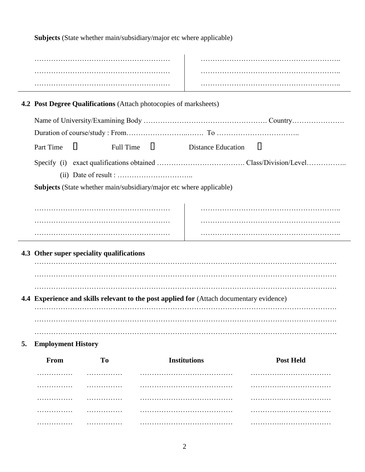**Subjects** (State whether main/subsidiary/major etc where applicable)

|                                           |                           | <b>4.2 Post Degree Qualifications</b> (Attach photocopies of marksheets) |  |                                                                                          |                  |  |
|-------------------------------------------|---------------------------|--------------------------------------------------------------------------|--|------------------------------------------------------------------------------------------|------------------|--|
|                                           |                           |                                                                          |  |                                                                                          |                  |  |
|                                           |                           |                                                                          |  |                                                                                          |                  |  |
|                                           | $\Box$<br>Part Time       |                                                                          |  | Full Time $\Box$ Distance Education                                                      | Ц                |  |
|                                           |                           |                                                                          |  |                                                                                          |                  |  |
|                                           |                           |                                                                          |  |                                                                                          |                  |  |
|                                           |                           | Subjects (State whether main/subsidiary/major etc where applicable)      |  |                                                                                          |                  |  |
|                                           |                           |                                                                          |  |                                                                                          |                  |  |
|                                           |                           |                                                                          |  |                                                                                          |                  |  |
|                                           |                           |                                                                          |  |                                                                                          |                  |  |
|                                           |                           |                                                                          |  |                                                                                          |                  |  |
| 4.3 Other super speciality qualifications |                           |                                                                          |  |                                                                                          |                  |  |
|                                           |                           |                                                                          |  |                                                                                          |                  |  |
|                                           |                           |                                                                          |  |                                                                                          |                  |  |
|                                           |                           |                                                                          |  |                                                                                          |                  |  |
|                                           |                           |                                                                          |  |                                                                                          |                  |  |
|                                           |                           |                                                                          |  | 4.4 Experience and skills relevant to the post applied for (Attach documentary evidence) |                  |  |
|                                           |                           |                                                                          |  |                                                                                          |                  |  |
|                                           |                           |                                                                          |  |                                                                                          |                  |  |
| 5.                                        | <b>Employment History</b> |                                                                          |  |                                                                                          |                  |  |
|                                           | From                      | T <sub>o</sub>                                                           |  | <b>Institutions</b>                                                                      | <b>Post Held</b> |  |
|                                           |                           |                                                                          |  |                                                                                          |                  |  |
|                                           |                           |                                                                          |  |                                                                                          |                  |  |
|                                           |                           |                                                                          |  |                                                                                          |                  |  |
|                                           | .                         | .                                                                        |  |                                                                                          |                  |  |